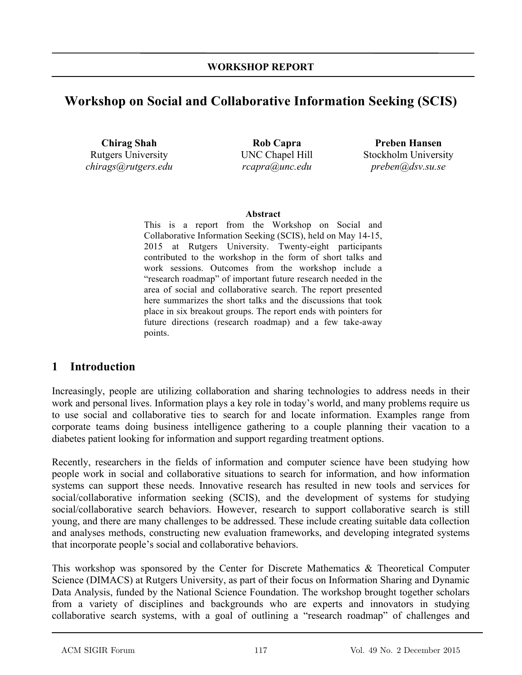# **Workshop on Social and Collaborative Information Seeking (SCIS)**

**Chirag Shah**  Rutgers University *chirags@rutgers.edu*

**Rob Capra**  UNC Chapel Hill *rcapra@unc.edu* 

**Preben Hansen**  Stockholm University *preben@dsv.su.se*

#### **Abstract**

This is a report from the Workshop on Social and Collaborative Information Seeking (SCIS), held on May 14-15, 2015 at Rutgers University. Twenty-eight participants contributed to the workshop in the form of short talks and work sessions. Outcomes from the workshop include a "research roadmap" of important future research needed in the area of social and collaborative search. The report presented here summarizes the short talks and the discussions that took place in six breakout groups. The report ends with pointers for future directions (research roadmap) and a few take-away points.

### **1 Introduction**

Increasingly, people are utilizing collaboration and sharing technologies to address needs in their work and personal lives. Information plays a key role in today's world, and many problems require us to use social and collaborative ties to search for and locate information. Examples range from corporate teams doing business intelligence gathering to a couple planning their vacation to a diabetes patient looking for information and support regarding treatment options.

Recently, researchers in the fields of information and computer science have been studying how people work in social and collaborative situations to search for information, and how information systems can support these needs. Innovative research has resulted in new tools and services for social/collaborative information seeking (SCIS), and the development of systems for studying social/collaborative search behaviors. However, research to support collaborative search is still young, and there are many challenges to be addressed. These include creating suitable data collection and analyses methods, constructing new evaluation frameworks, and developing integrated systems that incorporate people's social and collaborative behaviors.

This workshop was sponsored by the Center for Discrete Mathematics & Theoretical Computer Science (DIMACS) at Rutgers University, as part of their focus on Information Sharing and Dynamic Data Analysis, funded by the National Science Foundation. The workshop brought together scholars from a variety of disciplines and backgrounds who are experts and innovators in studying collaborative search systems, with a goal of outlining a "research roadmap" of challenges and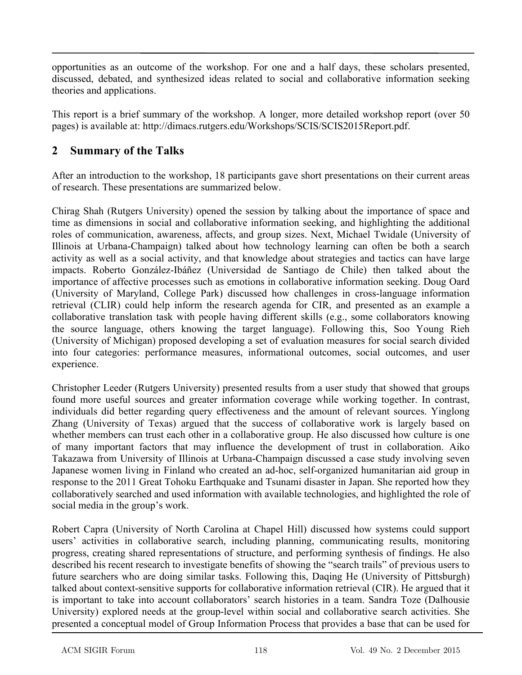opportunities as an outcome of the workshop. For one and a half days, these scholars presented, discussed, debated, and synthesized ideas related to social and collaborative information seeking theories and applications.

This report is a brief summary of the workshop. A longer, more detailed workshop report (over 50 pages) is available at: http://dimacs.rutgers.edu/Workshops/SCIS/SCIS2015Report.pdf.

## **2 Summary of the Talks**

After an introduction to the workshop, 18 participants gave short presentations on their current areas of research. These presentations are summarized below.

Chirag Shah (Rutgers University) opened the session by talking about the importance of space and time as dimensions in social and collaborative information seeking, and highlighting the additional roles of communication, awareness, affects, and group sizes. Next, Michael Twidale (University of Illinois at Urbana-Champaign) talked about how technology learning can often be both a search activity as well as a social activity, and that knowledge about strategies and tactics can have large impacts. Roberto González-Ibáñez (Universidad de Santiago de Chile) then talked about the importance of affective processes such as emotions in collaborative information seeking. Doug Oard (University of Maryland, College Park) discussed how challenges in cross-language information retrieval (CLIR) could help inform the research agenda for CIR, and presented as an example a collaborative translation task with people having different skills (e.g., some collaborators knowing the source language, others knowing the target language). Following this, Soo Young Rieh (University of Michigan) proposed developing a set of evaluation measures for social search divided into four categories: performance measures, informational outcomes, social outcomes, and user experience.

Christopher Leeder (Rutgers University) presented results from a user study that showed that groups found more useful sources and greater information coverage while working together. In contrast, individuals did better regarding query effectiveness and the amount of relevant sources. Yinglong Zhang (University of Texas) argued that the success of collaborative work is largely based on whether members can trust each other in a collaborative group. He also discussed how culture is one of many important factors that may influence the development of trust in collaboration. Aiko Takazawa from University of Illinois at Urbana-Champaign discussed a case study involving seven Japanese women living in Finland who created an ad-hoc, self-organized humanitarian aid group in response to the 2011 Great Tohoku Earthquake and Tsunami disaster in Japan. She reported how they collaboratively searched and used information with available technologies, and highlighted the role of social media in the group's work.

Robert Capra (University of North Carolina at Chapel Hill) discussed how systems could support users' activities in collaborative search, including planning, communicating results, monitoring progress, creating shared representations of structure, and performing synthesis of findings. He also described his recent research to investigate benefits of showing the "search trails" of previous users to future searchers who are doing similar tasks. Following this, Daqing He (University of Pittsburgh) talked about context-sensitive supports for collaborative information retrieval (CIR). He argued that it is important to take into account collaborators' search histories in a team. Sandra Toze (Dalhousie University) explored needs at the group-level within social and collaborative search activities. She presented a conceptual model of Group Information Process that provides a base that can be used for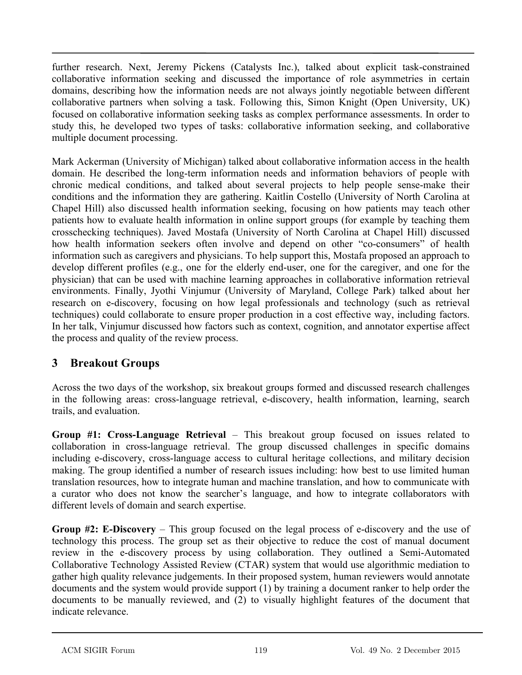further research. Next, Jeremy Pickens (Catalysts Inc.), talked about explicit task-constrained collaborative information seeking and discussed the importance of role asymmetries in certain domains, describing how the information needs are not always jointly negotiable between different collaborative partners when solving a task. Following this, Simon Knight (Open University, UK) focused on collaborative information seeking tasks as complex performance assessments. In order to study this, he developed two types of tasks: collaborative information seeking, and collaborative multiple document processing.

Mark Ackerman (University of Michigan) talked about collaborative information access in the health domain. He described the long-term information needs and information behaviors of people with chronic medical conditions, and talked about several projects to help people sense-make their conditions and the information they are gathering. Kaitlin Costello (University of North Carolina at Chapel Hill) also discussed health information seeking, focusing on how patients may teach other patients how to evaluate health information in online support groups (for example by teaching them crosschecking techniques). Javed Mostafa (University of North Carolina at Chapel Hill) discussed how health information seekers often involve and depend on other "co-consumers" of health information such as caregivers and physicians. To help support this, Mostafa proposed an approach to develop different profiles (e.g., one for the elderly end-user, one for the caregiver, and one for the physician) that can be used with machine learning approaches in collaborative information retrieval environments. Finally, Jyothi Vinjumur (University of Maryland, College Park) talked about her research on e-discovery, focusing on how legal professionals and technology (such as retrieval techniques) could collaborate to ensure proper production in a cost effective way, including factors. In her talk, Vinjumur discussed how factors such as context, cognition, and annotator expertise affect the process and quality of the review process.

## **3 Breakout Groups**

Across the two days of the workshop, six breakout groups formed and discussed research challenges in the following areas: cross-language retrieval, e-discovery, health information, learning, search trails, and evaluation.

**Group #1: Cross-Language Retrieval** – This breakout group focused on issues related to collaboration in cross-language retrieval. The group discussed challenges in specific domains including e-discovery, cross-language access to cultural heritage collections, and military decision making. The group identified a number of research issues including: how best to use limited human translation resources, how to integrate human and machine translation, and how to communicate with a curator who does not know the searcher's language, and how to integrate collaborators with different levels of domain and search expertise.

**Group #2: E-Discovery** – This group focused on the legal process of e-discovery and the use of technology this process. The group set as their objective to reduce the cost of manual document review in the e-discovery process by using collaboration. They outlined a Semi-Automated Collaborative Technology Assisted Review (CTAR) system that would use algorithmic mediation to gather high quality relevance judgements. In their proposed system, human reviewers would annotate documents and the system would provide support (1) by training a document ranker to help order the documents to be manually reviewed, and (2) to visually highlight features of the document that indicate relevance.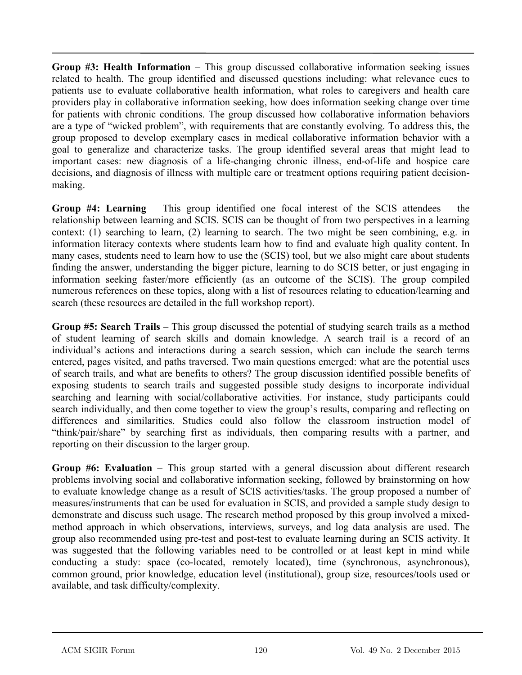**Group #3: Health Information** – This group discussed collaborative information seeking issues related to health. The group identified and discussed questions including: what relevance cues to patients use to evaluate collaborative health information, what roles to caregivers and health care providers play in collaborative information seeking, how does information seeking change over time for patients with chronic conditions. The group discussed how collaborative information behaviors are a type of "wicked problem", with requirements that are constantly evolving. To address this, the group proposed to develop exemplary cases in medical collaborative information behavior with a goal to generalize and characterize tasks. The group identified several areas that might lead to important cases: new diagnosis of a life-changing chronic illness, end-of-life and hospice care decisions, and diagnosis of illness with multiple care or treatment options requiring patient decisionmaking.

**Group #4: Learning** – This group identified one focal interest of the SCIS attendees – the relationship between learning and SCIS. SCIS can be thought of from two perspectives in a learning context: (1) searching to learn, (2) learning to search. The two might be seen combining, e.g. in information literacy contexts where students learn how to find and evaluate high quality content. In many cases, students need to learn how to use the (SCIS) tool, but we also might care about students finding the answer, understanding the bigger picture, learning to do SCIS better, or just engaging in information seeking faster/more efficiently (as an outcome of the SCIS). The group compiled numerous references on these topics, along with a list of resources relating to education/learning and search (these resources are detailed in the full workshop report).

**Group #5: Search Trails** – This group discussed the potential of studying search trails as a method of student learning of search skills and domain knowledge. A search trail is a record of an individual's actions and interactions during a search session, which can include the search terms entered, pages visited, and paths traversed. Two main questions emerged: what are the potential uses of search trails, and what are benefits to others? The group discussion identified possible benefits of exposing students to search trails and suggested possible study designs to incorporate individual searching and learning with social/collaborative activities. For instance, study participants could search individually, and then come together to view the group's results, comparing and reflecting on differences and similarities. Studies could also follow the classroom instruction model of "think/pair/share" by searching first as individuals, then comparing results with a partner, and reporting on their discussion to the larger group.

**Group #6: Evaluation** – This group started with a general discussion about different research problems involving social and collaborative information seeking, followed by brainstorming on how to evaluate knowledge change as a result of SCIS activities/tasks. The group proposed a number of measures/instruments that can be used for evaluation in SCIS, and provided a sample study design to demonstrate and discuss such usage. The research method proposed by this group involved a mixedmethod approach in which observations, interviews, surveys, and log data analysis are used. The group also recommended using pre-test and post-test to evaluate learning during an SCIS activity. It was suggested that the following variables need to be controlled or at least kept in mind while conducting a study: space (co-located, remotely located), time (synchronous, asynchronous), common ground, prior knowledge, education level (institutional), group size, resources/tools used or available, and task difficulty/complexity.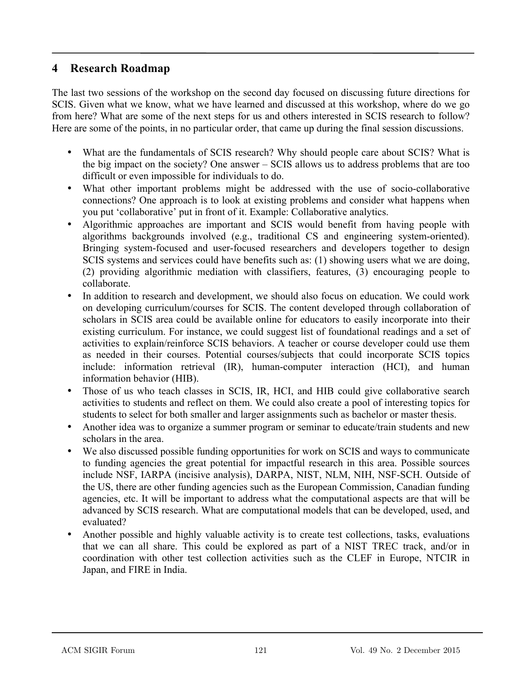### **4 Research Roadmap**

The last two sessions of the workshop on the second day focused on discussing future directions for SCIS. Given what we know, what we have learned and discussed at this workshop, where do we go from here? What are some of the next steps for us and others interested in SCIS research to follow? Here are some of the points, in no particular order, that came up during the final session discussions.

- What are the fundamentals of SCIS research? Why should people care about SCIS? What is the big impact on the society? One answer – SCIS allows us to address problems that are too difficult or even impossible for individuals to do.
- What other important problems might be addressed with the use of socio-collaborative connections? One approach is to look at existing problems and consider what happens when you put 'collaborative' put in front of it. Example: Collaborative analytics.
- Algorithmic approaches are important and SCIS would benefit from having people with algorithms backgrounds involved (e.g., traditional CS and engineering system-oriented). Bringing system-focused and user-focused researchers and developers together to design SCIS systems and services could have benefits such as: (1) showing users what we are doing, (2) providing algorithmic mediation with classifiers, features, (3) encouraging people to collaborate.
- In addition to research and development, we should also focus on education. We could work on developing curriculum/courses for SCIS. The content developed through collaboration of scholars in SCIS area could be available online for educators to easily incorporate into their existing curriculum. For instance, we could suggest list of foundational readings and a set of activities to explain/reinforce SCIS behaviors. A teacher or course developer could use them as needed in their courses. Potential courses/subjects that could incorporate SCIS topics include: information retrieval (IR), human-computer interaction (HCI), and human information behavior (HIB).
- Those of us who teach classes in SCIS, IR, HCI, and HIB could give collaborative search activities to students and reflect on them. We could also create a pool of interesting topics for students to select for both smaller and larger assignments such as bachelor or master thesis.
- Another idea was to organize a summer program or seminar to educate/train students and new scholars in the area.
- We also discussed possible funding opportunities for work on SCIS and ways to communicate to funding agencies the great potential for impactful research in this area. Possible sources include NSF, IARPA (incisive analysis), DARPA, NIST, NLM, NIH, NSF-SCH. Outside of the US, there are other funding agencies such as the European Commission, Canadian funding agencies, etc. It will be important to address what the computational aspects are that will be advanced by SCIS research. What are computational models that can be developed, used, and evaluated?
- Another possible and highly valuable activity is to create test collections, tasks, evaluations that we can all share. This could be explored as part of a NIST TREC track, and/or in coordination with other test collection activities such as the CLEF in Europe, NTCIR in Japan, and FIRE in India.